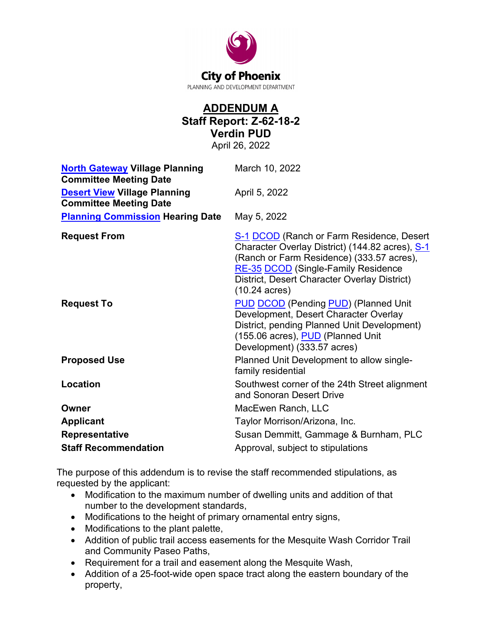

# **ADDENDUM A Staff Report: Z-62-18-2 Verdin PUD**

April 26, 2022

| <b>North Gateway Village Planning</b><br><b>Committee Meeting Date</b> | March 10, 2022                                                                                                                                                                                                                                                     |
|------------------------------------------------------------------------|--------------------------------------------------------------------------------------------------------------------------------------------------------------------------------------------------------------------------------------------------------------------|
| <b>Desert View Village Planning</b><br><b>Committee Meeting Date</b>   | April 5, 2022                                                                                                                                                                                                                                                      |
| <b>Planning Commission Hearing Date</b>                                | May 5, 2022                                                                                                                                                                                                                                                        |
| <b>Request From</b>                                                    | S-1 DCOD (Ranch or Farm Residence, Desert<br>Character Overlay District) (144.82 acres), S-1<br>(Ranch or Farm Residence) (333.57 acres),<br><b>RE-35 DCOD</b> (Single-Family Residence<br>District, Desert Character Overlay District)<br>$(10.24 \text{ acres})$ |
| <b>Request To</b>                                                      | <b>PUD DCOD (Pending PUD) (Planned Unit</b><br>Development, Desert Character Overlay<br>District, pending Planned Unit Development)<br>(155.06 acres), PUD (Planned Unit<br>Development) (333.57 acres)                                                            |
| <b>Proposed Use</b>                                                    | Planned Unit Development to allow single-<br>family residential                                                                                                                                                                                                    |
| Location                                                               | Southwest corner of the 24th Street alignment<br>and Sonoran Desert Drive                                                                                                                                                                                          |
| Owner                                                                  | MacEwen Ranch, LLC                                                                                                                                                                                                                                                 |
| <b>Applicant</b>                                                       | Taylor Morrison/Arizona, Inc.                                                                                                                                                                                                                                      |
| <b>Representative</b>                                                  | Susan Demmitt, Gammage & Burnham, PLC                                                                                                                                                                                                                              |
| <b>Staff Recommendation</b>                                            | Approval, subject to stipulations                                                                                                                                                                                                                                  |

The purpose of this addendum is to revise the staff recommended stipulations, as requested by the applicant:

- Modification to the maximum number of dwelling units and addition of that number to the development standards,
- Modifications to the height of primary ornamental entry signs,
- Modifications to the plant palette,
- Addition of public trail access easements for the Mesquite Wash Corridor Trail and Community Paseo Paths,
- Requirement for a trail and easement along the Mesquite Wash,
- Addition of a 25-foot-wide open space tract along the eastern boundary of the property,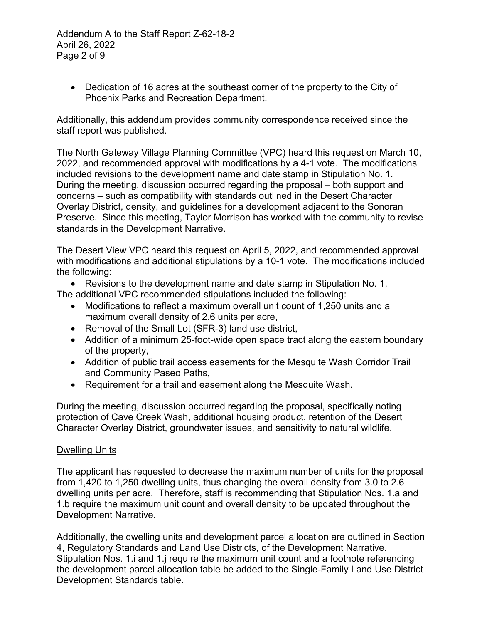Addendum A to the Staff Report Z-62-18-2 April 26, 2022 Page 2 of 9

• Dedication of 16 acres at the southeast corner of the property to the City of Phoenix Parks and Recreation Department.

Additionally, this addendum provides community correspondence received since the staff report was published.

The North Gateway Village Planning Committee (VPC) heard this request on March 10, 2022, and recommended approval with modifications by a 4-1 vote. The modifications included revisions to the development name and date stamp in Stipulation No. 1. During the meeting, discussion occurred regarding the proposal – both support and concerns – such as compatibility with standards outlined in the Desert Character Overlay District, density, and guidelines for a development adjacent to the Sonoran Preserve. Since this meeting, Taylor Morrison has worked with the community to revise standards in the Development Narrative.

The Desert View VPC heard this request on April 5, 2022, and recommended approval with modifications and additional stipulations by a 10-1 vote. The modifications included the following:

• Revisions to the development name and date stamp in Stipulation No. 1,

The additional VPC recommended stipulations included the following:

- Modifications to reflect a maximum overall unit count of 1,250 units and a maximum overall density of 2.6 units per acre,
- Removal of the Small Lot (SFR-3) land use district,
- Addition of a minimum 25-foot-wide open space tract along the eastern boundary of the property,
- Addition of public trail access easements for the Mesquite Wash Corridor Trail and Community Paseo Paths,
- Requirement for a trail and easement along the Mesquite Wash.

During the meeting, discussion occurred regarding the proposal, specifically noting protection of Cave Creek Wash, additional housing product, retention of the Desert Character Overlay District, groundwater issues, and sensitivity to natural wildlife.

#### Dwelling Units

The applicant has requested to decrease the maximum number of units for the proposal from 1,420 to 1,250 dwelling units, thus changing the overall density from 3.0 to 2.6 dwelling units per acre. Therefore, staff is recommending that Stipulation Nos. 1.a and 1.b require the maximum unit count and overall density to be updated throughout the Development Narrative.

Additionally, the dwelling units and development parcel allocation are outlined in Section 4, Regulatory Standards and Land Use Districts, of the Development Narrative. Stipulation Nos. 1.i and 1.j require the maximum unit count and a footnote referencing the development parcel allocation table be added to the Single-Family Land Use District Development Standards table.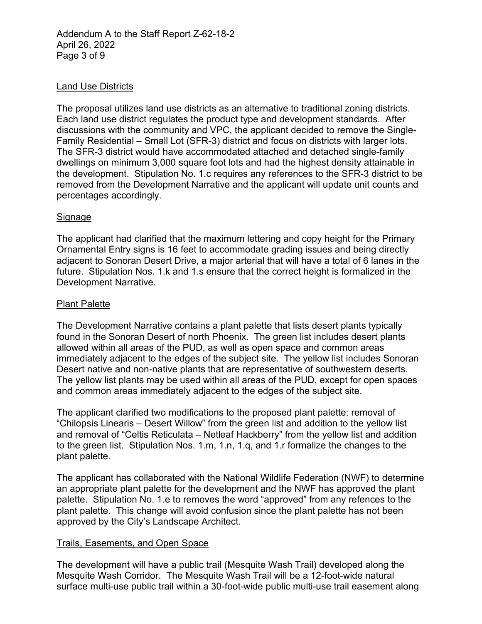Addendum A to the Staff Report Z-62-18-2 April 26, 2022 Page 3 of 9

### Land Use Districts

The proposal utilizes land use districts as an alternative to traditional zoning districts. Each land use district regulates the product type and development standards. After discussions with the community and VPC, the applicant decided to remove the Single-Family Residential – Small Lot (SFR-3) district and focus on districts with larger lots. The SFR-3 district would have accommodated attached and detached single-family dwellings on minimum 3,000 square foot lots and had the highest density attainable in the development. Stipulation No. 1.c requires any references to the SFR-3 district to be removed from the Development Narrative and the applicant will update unit counts and percentages accordingly.

#### Signage

The applicant had clarified that the maximum lettering and copy height for the Primary Ornamental Entry signs is 16 feet to accommodate grading issues and being directly adjacent to Sonoran Desert Drive, a major arterial that will have a total of 6 lanes in the future. Stipulation Nos. 1.k and 1.s ensure that the correct height is formalized in the Development Narrative.

#### Plant Palette

The Development Narrative contains a plant palette that lists desert plants typically found in the Sonoran Desert of north Phoenix. The green list includes desert plants allowed within all areas of the PUD, as well as open space and common areas immediately adjacent to the edges of the subject site. The yellow list includes Sonoran Desert native and non-native plants that are representative of southwestern deserts. The yellow list plants may be used within all areas of the PUD, except for open spaces and common areas immediately adjacent to the edges of the subject site.

The applicant clarified two modifications to the proposed plant palette: removal of "Chilopsis Linearis – Desert Willow" from the green list and addition to the yellow list and removal of "Celtis Reticulata – Netleaf Hackberry" from the yellow list and addition to the green list. Stipulation Nos. 1.m, 1.n, 1.q, and 1.r formalize the changes to the plant palette.

The applicant has collaborated with the National Wildlife Federation (NWF) to determine an appropriate plant palette for the development and the NWF has approved the plant palette. Stipulation No. 1.e to removes the word "approved" from any refences to the plant palette. This change will avoid confusion since the plant palette has not been approved by the City's Landscape Architect.

#### Trails, Easements, and Open Space

The development will have a public trail (Mesquite Wash Trail) developed along the Mesquite Wash Corridor. The Mesquite Wash Trail will be a 12-foot-wide natural surface multi-use public trail within a 30-foot-wide public multi-use trail easement along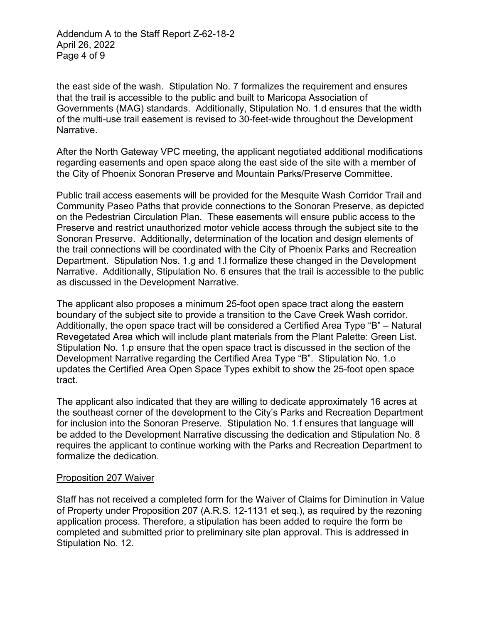Addendum A to the Staff Report Z-62-18-2 April 26, 2022 Page 4 of 9

the east side of the wash. Stipulation No. 7 formalizes the requirement and ensures that the trail is accessible to the public and built to Maricopa Association of Governments (MAG) standards. Additionally, Stipulation No. 1.d ensures that the width of the multi-use trail easement is revised to 30-feet-wide throughout the Development Narrative.

After the North Gateway VPC meeting, the applicant negotiated additional modifications regarding easements and open space along the east side of the site with a member of the City of Phoenix Sonoran Preserve and Mountain Parks/Preserve Committee.

Public trail access easements will be provided for the Mesquite Wash Corridor Trail and Community Paseo Paths that provide connections to the Sonoran Preserve, as depicted on the Pedestrian Circulation Plan. These easements will ensure public access to the Preserve and restrict unauthorized motor vehicle access through the subject site to the Sonoran Preserve. Additionally, determination of the location and design elements of the trail connections will be coordinated with the City of Phoenix Parks and Recreation Department. Stipulation Nos. 1.g and 1.l formalize these changed in the Development Narrative. Additionally, Stipulation No. 6 ensures that the trail is accessible to the public as discussed in the Development Narrative.

The applicant also proposes a minimum 25-foot open space tract along the eastern boundary of the subject site to provide a transition to the Cave Creek Wash corridor. Additionally, the open space tract will be considered a Certified Area Type "B" – Natural Revegetated Area which will include plant materials from the Plant Palette: Green List. Stipulation No. 1.p ensure that the open space tract is discussed in the section of the Development Narrative regarding the Certified Area Type "B". Stipulation No. 1.o updates the Certified Area Open Space Types exhibit to show the 25-foot open space tract.

The applicant also indicated that they are willing to dedicate approximately 16 acres at the southeast corner of the development to the City's Parks and Recreation Department for inclusion into the Sonoran Preserve. Stipulation No. 1.f ensures that language will be added to the Development Narrative discussing the dedication and Stipulation No. 8 requires the applicant to continue working with the Parks and Recreation Department to formalize the dedication.

#### Proposition 207 Waiver

Staff has not received a completed form for the Waiver of Claims for Diminution in Value of Property under Proposition 207 (A.R.S. 12-1131 et seq.), as required by the rezoning application process. Therefore, a stipulation has been added to require the form be completed and submitted prior to preliminary site plan approval. This is addressed in Stipulation No. 12.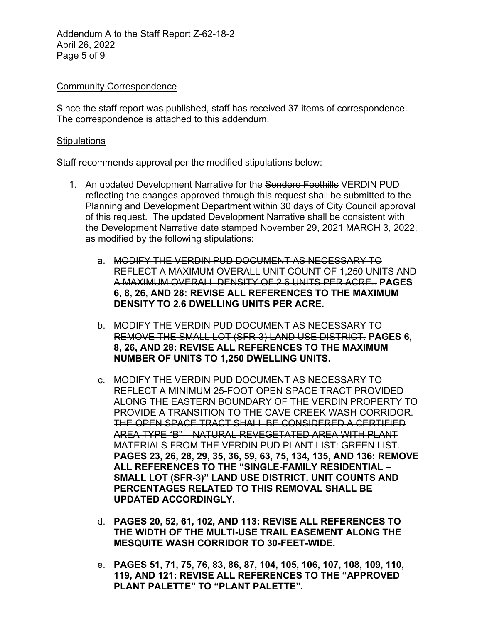Addendum A to the Staff Report Z-62-18-2 April 26, 2022 Page 5 of 9

#### **Community Correspondence**

Since the staff report was published, staff has received 37 items of correspondence. The correspondence is attached to this addendum.

#### **Stipulations**

Staff recommends approval per the modified stipulations below:

- 1. An updated Development Narrative for the Sendero Foothills VERDIN PUD reflecting the changes approved through this request shall be submitted to the Planning and Development Department within 30 days of City Council approval of this request. The updated Development Narrative shall be consistent with the Development Narrative date stamped November 29, 2021 MARCH 3, 2022, as modified by the following stipulations:
	- a. MODIFY THE VERDIN PUD DOCUMENT AS NECESSARY TO REFLECT A MAXIMUM OVERALL UNIT COUNT OF 1,250 UNITS AND A MAXIMUM OVERALL DENSITY OF 2.6 UNITS PER ACRE.. **PAGES 6, 8, 26, AND 28: REVISE ALL REFERENCES TO THE MAXIMUM DENSITY TO 2.6 DWELLING UNITS PER ACRE.**
	- b. MODIFY THE VERDIN PUD DOCUMENT AS NECESSARY TO REMOVE THE SMALL LOT (SFR-3) LAND USE DISTRICT. **PAGES 6, 8, 26, AND 28: REVISE ALL REFERENCES TO THE MAXIMUM NUMBER OF UNITS TO 1,250 DWELLING UNITS.**
	- c. MODIFY THE VERDIN PUD DOCUMENT AS NECESSARY TO REFLECT A MINIMUM 25-FOOT OPEN SPACE TRACT PROVIDED ALONG THE EASTERN BOUNDARY OF THE VERDIN PROPERTY TO PROVIDE A TRANSITION TO THE CAVE CREEK WASH CORRIDOR. THE OPEN SPACE TRACT SHALL BE CONSIDERED A CERTIFIED AREA TYPE "B" – NATURAL REVEGETATED AREA WITH PLANT MATERIALS FROM THE VERDIN PUD PLANT LIST: GREEN LIST. **PAGES 23, 26, 28, 29, 35, 36, 59, 63, 75, 134, 135, AND 136: REMOVE ALL REFERENCES TO THE "SINGLE-FAMILY RESIDENTIAL – SMALL LOT (SFR-3)" LAND USE DISTRICT. UNIT COUNTS AND PERCENTAGES RELATED TO THIS REMOVAL SHALL BE UPDATED ACCORDINGLY.**
	- d. **PAGES 20, 52, 61, 102, AND 113: REVISE ALL REFERENCES TO THE WIDTH OF THE MULTI-USE TRAIL EASEMENT ALONG THE MESQUITE WASH CORRIDOR TO 30-FEET-WIDE.**
	- e. **PAGES 51, 71, 75, 76, 83, 86, 87, 104, 105, 106, 107, 108, 109, 110, 119, AND 121: REVISE ALL REFERENCES TO THE "APPROVED PLANT PALETTE" TO "PLANT PALETTE".**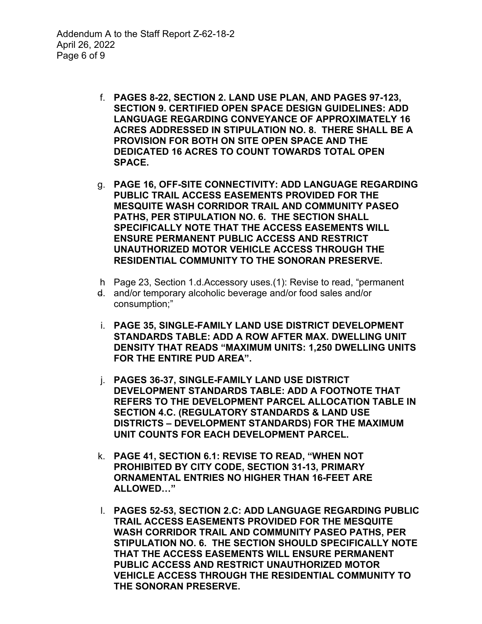- f. **PAGES 8-22, SECTION 2. LAND USE PLAN, AND PAGES 97-123, SECTION 9. CERTIFIED OPEN SPACE DESIGN GUIDELINES: ADD LANGUAGE REGARDING CONVEYANCE OF APPROXIMATELY 16 ACRES ADDRESSED IN STIPULATION NO. 8. THERE SHALL BE A PROVISION FOR BOTH ON SITE OPEN SPACE AND THE DEDICATED 16 ACRES TO COUNT TOWARDS TOTAL OPEN SPACE.**
- g. **PAGE 16, OFF-SITE CONNECTIVITY: ADD LANGUAGE REGARDING PUBLIC TRAIL ACCESS EASEMENTS PROVIDED FOR THE MESQUITE WASH CORRIDOR TRAIL AND COMMUNITY PASEO PATHS, PER STIPULATION NO. 6. THE SECTION SHALL SPECIFICALLY NOTE THAT THE ACCESS EASEMENTS WILL ENSURE PERMANENT PUBLIC ACCESS AND RESTRICT UNAUTHORIZED MOTOR VEHICLE ACCESS THROUGH THE RESIDENTIAL COMMUNITY TO THE SONORAN PRESERVE.**
- h Page 23, Section 1.d.Accessory uses.(1): Revise to read, "permanent
- d. and/or temporary alcoholic beverage and/or food sales and/or consumption;"
- i. **PAGE 35, SINGLE-FAMILY LAND USE DISTRICT DEVELOPMENT STANDARDS TABLE: ADD A ROW AFTER MAX. DWELLING UNIT DENSITY THAT READS "MAXIMUM UNITS: 1,250 DWELLING UNITS FOR THE ENTIRE PUD AREA".**
- j. **PAGES 36-37, SINGLE-FAMILY LAND USE DISTRICT DEVELOPMENT STANDARDS TABLE: ADD A FOOTNOTE THAT REFERS TO THE DEVELOPMENT PARCEL ALLOCATION TABLE IN SECTION 4.C. (REGULATORY STANDARDS & LAND USE DISTRICTS – DEVELOPMENT STANDARDS) FOR THE MAXIMUM UNIT COUNTS FOR EACH DEVELOPMENT PARCEL.**
- k. **PAGE 41, SECTION 6.1: REVISE TO READ, "WHEN NOT PROHIBITED BY CITY CODE, SECTION 31-13, PRIMARY ORNAMENTAL ENTRIES NO HIGHER THAN 16-FEET ARE ALLOWED…"**
- l. **PAGES 52-53, SECTION 2.C: ADD LANGUAGE REGARDING PUBLIC TRAIL ACCESS EASEMENTS PROVIDED FOR THE MESQUITE WASH CORRIDOR TRAIL AND COMMUNITY PASEO PATHS, PER STIPULATION NO. 6. THE SECTION SHOULD SPECIFICALLY NOTE THAT THE ACCESS EASEMENTS WILL ENSURE PERMANENT PUBLIC ACCESS AND RESTRICT UNAUTHORIZED MOTOR VEHICLE ACCESS THROUGH THE RESIDENTIAL COMMUNITY TO THE SONORAN PRESERVE.**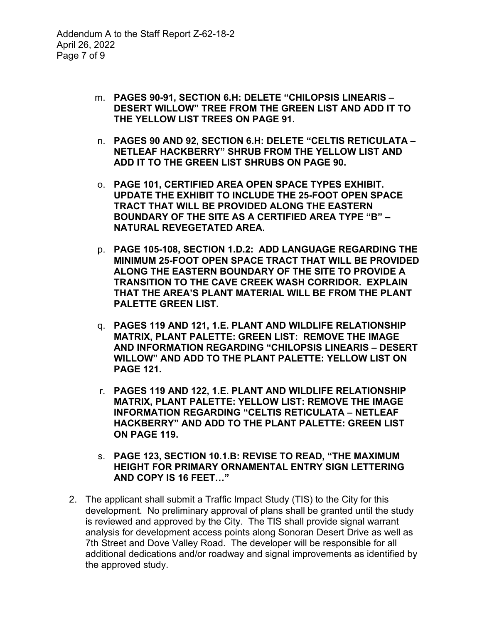- m. **PAGES 90-91, SECTION 6.H: DELETE "CHILOPSIS LINEARIS – DESERT WILLOW" TREE FROM THE GREEN LIST AND ADD IT TO THE YELLOW LIST TREES ON PAGE 91.**
- n. **PAGES 90 AND 92, SECTION 6.H: DELETE "CELTIS RETICULATA – NETLEAF HACKBERRY" SHRUB FROM THE YELLOW LIST AND ADD IT TO THE GREEN LIST SHRUBS ON PAGE 90.**
- o. **PAGE 101, CERTIFIED AREA OPEN SPACE TYPES EXHIBIT. UPDATE THE EXHIBIT TO INCLUDE THE 25-FOOT OPEN SPACE TRACT THAT WILL BE PROVIDED ALONG THE EASTERN BOUNDARY OF THE SITE AS A CERTIFIED AREA TYPE "B" – NATURAL REVEGETATED AREA.**
- p. **PAGE 105-108, SECTION 1.D.2: ADD LANGUAGE REGARDING THE MINIMUM 25-FOOT OPEN SPACE TRACT THAT WILL BE PROVIDED ALONG THE EASTERN BOUNDARY OF THE SITE TO PROVIDE A TRANSITION TO THE CAVE CREEK WASH CORRIDOR. EXPLAIN THAT THE AREA'S PLANT MATERIAL WILL BE FROM THE PLANT PALETTE GREEN LIST.**
- q. **PAGES 119 AND 121, 1.E. PLANT AND WILDLIFE RELATIONSHIP MATRIX, PLANT PALETTE: GREEN LIST: REMOVE THE IMAGE AND INFORMATION REGARDING "CHILOPSIS LINEARIS – DESERT WILLOW" AND ADD TO THE PLANT PALETTE: YELLOW LIST ON PAGE 121.**
- r. **PAGES 119 AND 122, 1.E. PLANT AND WILDLIFE RELATIONSHIP MATRIX, PLANT PALETTE: YELLOW LIST: REMOVE THE IMAGE INFORMATION REGARDING "CELTIS RETICULATA – NETLEAF HACKBERRY" AND ADD TO THE PLANT PALETTE: GREEN LIST ON PAGE 119.**
- s. **PAGE 123, SECTION 10.1.B: REVISE TO READ, "THE MAXIMUM HEIGHT FOR PRIMARY ORNAMENTAL ENTRY SIGN LETTERING AND COPY IS 16 FEET…"**
- 2. The applicant shall submit a Traffic Impact Study (TIS) to the City for this development. No preliminary approval of plans shall be granted until the study is reviewed and approved by the City. The TIS shall provide signal warrant analysis for development access points along Sonoran Desert Drive as well as 7th Street and Dove Valley Road. The developer will be responsible for all additional dedications and/or roadway and signal improvements as identified by the approved study.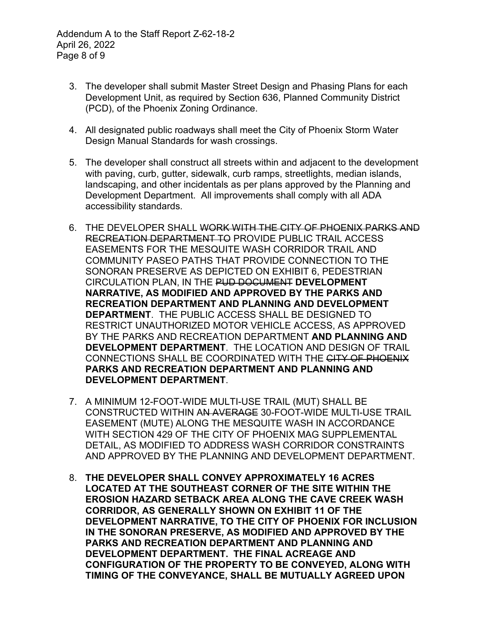Addendum A to the Staff Report Z-62-18-2 April 26, 2022 Page 8 of 9

- 3. The developer shall submit Master Street Design and Phasing Plans for each Development Unit, as required by Section 636, Planned Community District (PCD), of the Phoenix Zoning Ordinance.
- 4. All designated public roadways shall meet the City of Phoenix Storm Water Design Manual Standards for wash crossings.
- 5. The developer shall construct all streets within and adjacent to the development with paving, curb, gutter, sidewalk, curb ramps, streetlights, median islands, landscaping, and other incidentals as per plans approved by the Planning and Development Department. All improvements shall comply with all ADA accessibility standards.
- 6. THE DEVELOPER SHALL WORK WITH THE CITY OF PHOENIX PARKS AND RECREATION DEPARTMENT TO PROVIDE PUBLIC TRAIL ACCESS EASEMENTS FOR THE MESQUITE WASH CORRIDOR TRAIL AND COMMUNITY PASEO PATHS THAT PROVIDE CONNECTION TO THE SONORAN PRESERVE AS DEPICTED ON EXHIBIT 6, PEDESTRIAN CIRCULATION PLAN, IN THE PUD DOCUMENT **DEVELOPMENT NARRATIVE, AS MODIFIED AND APPROVED BY THE PARKS AND RECREATION DEPARTMENT AND PLANNING AND DEVELOPMENT DEPARTMENT**. THE PUBLIC ACCESS SHALL BE DESIGNED TO RESTRICT UNAUTHORIZED MOTOR VEHICLE ACCESS, AS APPROVED BY THE PARKS AND RECREATION DEPARTMENT **AND PLANNING AND DEVELOPMENT DEPARTMENT**. THE LOCATION AND DESIGN OF TRAIL CONNECTIONS SHALL BE COORDINATED WITH THE CITY OF PHOENIX **PARKS AND RECREATION DEPARTMENT AND PLANNING AND DEVELOPMENT DEPARTMENT**.
- 7. A MINIMUM 12-FOOT-WIDE MULTI-USE TRAIL (MUT) SHALL BE CONSTRUCTED WITHIN AN AVERAGE 30-FOOT-WIDE MULTI-USE TRAIL EASEMENT (MUTE) ALONG THE MESQUITE WASH IN ACCORDANCE WITH SECTION 429 OF THE CITY OF PHOENIX MAG SUPPLEMENTAL DETAIL, AS MODIFIED TO ADDRESS WASH CORRIDOR CONSTRAINTS AND APPROVED BY THE PLANNING AND DEVELOPMENT DEPARTMENT.
- 8. **THE DEVELOPER SHALL CONVEY APPROXIMATELY 16 ACRES LOCATED AT THE SOUTHEAST CORNER OF THE SITE WITHIN THE EROSION HAZARD SETBACK AREA ALONG THE CAVE CREEK WASH CORRIDOR, AS GENERALLY SHOWN ON EXHIBIT 11 OF THE DEVELOPMENT NARRATIVE, TO THE CITY OF PHOENIX FOR INCLUSION IN THE SONORAN PRESERVE, AS MODIFIED AND APPROVED BY THE PARKS AND RECREATION DEPARTMENT AND PLANNING AND DEVELOPMENT DEPARTMENT. THE FINAL ACREAGE AND CONFIGURATION OF THE PROPERTY TO BE CONVEYED, ALONG WITH TIMING OF THE CONVEYANCE, SHALL BE MUTUALLY AGREED UPON**